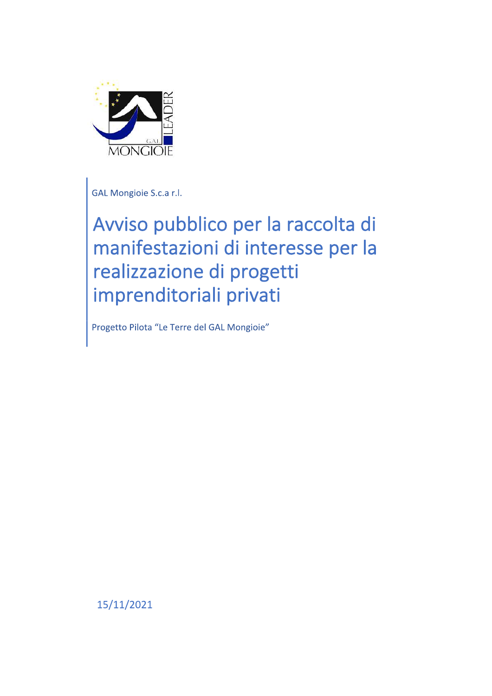

GAL Mongioie S.c.a r.l.

Avviso pubblico per la raccolta di manifestazioni di interesse per la realizzazione di progetti imprenditoriali privati

Progetto Pilota "Le Terre del GAL Mongioie"

15/11/2021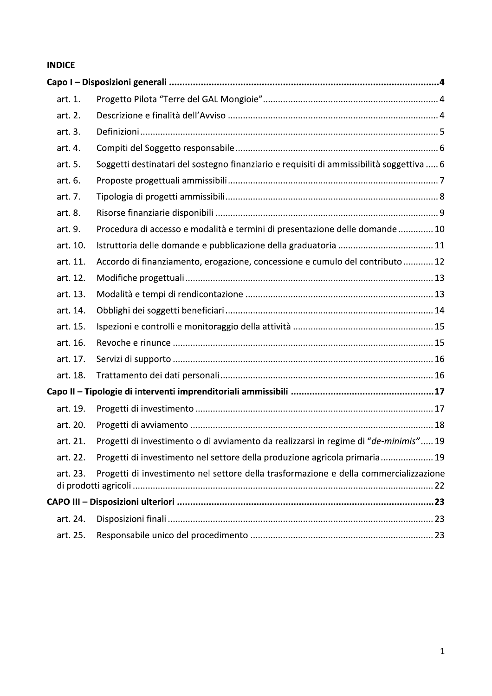## **INDICE**

| art. 1.  |                                                                                          |
|----------|------------------------------------------------------------------------------------------|
| art. 2.  |                                                                                          |
| art. 3.  |                                                                                          |
| art. 4.  |                                                                                          |
| art. 5.  | Soggetti destinatari del sostegno finanziario e requisiti di ammissibilità soggettiva  6 |
| art. 6.  |                                                                                          |
| art. 7.  |                                                                                          |
| art. 8.  |                                                                                          |
| art. 9.  | Procedura di accesso e modalità e termini di presentazione delle domande 10              |
| art. 10. |                                                                                          |
| art. 11. | Accordo di finanziamento, erogazione, concessione e cumulo del contributo  12            |
| art. 12. |                                                                                          |
| art. 13. |                                                                                          |
| art. 14. |                                                                                          |
| art. 15. |                                                                                          |
| art. 16. |                                                                                          |
| art. 17. |                                                                                          |
| art. 18. |                                                                                          |
|          |                                                                                          |
| art. 19. |                                                                                          |
| art. 20. |                                                                                          |
| art. 21. | Progetti di investimento o di avviamento da realizzarsi in regime di "de-minimis" 19     |
| art. 22. | Progetti di investimento nel settore della produzione agricola primaria 19               |
| art. 23. | Progetti di investimento nel settore della trasformazione e della commercializzazione    |
|          |                                                                                          |
| art. 24. |                                                                                          |
| art. 25. |                                                                                          |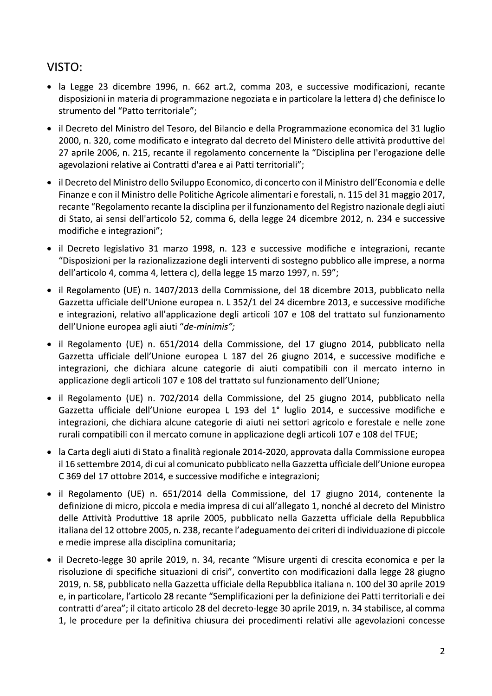# VISTO:

- · la Legge 23 dicembre 1996, n. 662 art.2, comma 203, e successive modificazioni, recante disposizioni in materia di programmazione negoziata e in particolare la lettera d) che definisce lo strumento del "Patto territoriale";
- il Decreto del Ministro del Tesoro, del Bilancio e della Programmazione economica del 31 luglio 2000, n. 320, come modificato e integrato dal decreto del Ministero delle attività produttive del 27 aprile 2006, n. 215, recante il regolamento concernente la "Disciplina per l'erogazione delle agevolazioni relative ai Contratti d'area e ai Patti territoriali";
- il Decreto del Ministro dello Sviluppo Economico, di concerto con il Ministro dell'Economia e delle Finanze e con il Ministro delle Politiche Agricole alimentari e forestali, n. 115 del 31 maggio 2017, recante "Regolamento recante la disciplina per il funzionamento del Registro nazionale degli aiuti di Stato, ai sensi dell'articolo 52, comma 6, della legge 24 dicembre 2012, n. 234 e successive modifiche e integrazioni";
- il Decreto legislativo 31 marzo 1998, n. 123 e successive modifiche e integrazioni, recante "Disposizioni per la razionalizzazione degli interventi di sostegno pubblico alle imprese, a norma dell'articolo 4, comma 4, lettera c), della legge 15 marzo 1997, n. 59";
- il Regolamento (UE) n. 1407/2013 della Commissione, del 18 dicembre 2013, pubblicato nella Gazzetta ufficiale dell'Unione europea n. L 352/1 del 24 dicembre 2013, e successive modifiche e integrazioni, relativo all'applicazione degli articoli 107 e 108 del trattato sul funzionamento dell'Unione europea agli aiuti "de-minimis";
- il Regolamento (UE) n. 651/2014 della Commissione, del 17 giugno 2014, pubblicato nella Gazzetta ufficiale dell'Unione europea L 187 del 26 giugno 2014, e successive modifiche e integrazioni, che dichiara alcune categorie di aiuti compatibili con il mercato interno in applicazione degli articoli 107 e 108 del trattato sul funzionamento dell'Unione;
- il Regolamento (UE) n. 702/2014 della Commissione, del 25 giugno 2014, pubblicato nella Gazzetta ufficiale dell'Unione europea L 193 del 1° luglio 2014, e successive modifiche e integrazioni, che dichiara alcune categorie di aiuti nei settori agricolo e forestale e nelle zone rurali compatibili con il mercato comune in applicazione degli articoli 107 e 108 del TFUE;
- la Carta degli aiuti di Stato a finalità regionale 2014-2020, approvata dalla Commissione europea il 16 settembre 2014, di cui al comunicato pubblicato nella Gazzetta ufficiale dell'Unione europea C 369 del 17 ottobre 2014, e successive modifiche e integrazioni;
- il Regolamento (UE) n. 651/2014 della Commissione, del 17 giugno 2014, contenente la definizione di micro, piccola e media impresa di cui all'allegato 1, nonché al decreto del Ministro delle Attività Produttive 18 aprile 2005, pubblicato nella Gazzetta ufficiale della Repubblica italiana del 12 ottobre 2005, n. 238, recante l'adeguamento dei criteri di individuazione di piccole e medie imprese alla disciplina comunitaria;
- · il Decreto-legge 30 aprile 2019, n. 34, recante "Misure urgenti di crescita economica e per la risoluzione di specifiche situazioni di crisi", convertito con modificazioni dalla legge 28 giugno 2019, n. 58, pubblicato nella Gazzetta ufficiale della Repubblica italiana n. 100 del 30 aprile 2019 e, in particolare, l'articolo 28 recante "Semplificazioni per la definizione dei Patti territoriali e dei contratti d'area"; il citato articolo 28 del decreto-legge 30 aprile 2019, n. 34 stabilisce, al comma 1, le procedure per la definitiva chiusura dei procedimenti relativi alle agevolazioni concesse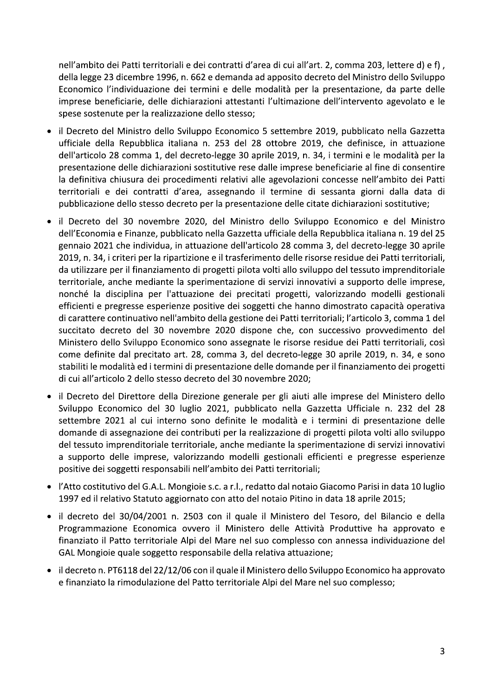nell'ambito dei Patti territoriali e dei contratti d'area di cui all'art. 2, comma 203, lettere d) e f), della legge 23 dicembre 1996, n. 662 e demanda ad apposito decreto del Ministro dello Sviluppo Economico l'individuazione dei termini e delle modalità per la presentazione, da parte delle imprese beneficiarie, delle dichiarazioni attestanti l'ultimazione dell'intervento agevolato e le spese sostenute per la realizzazione dello stesso;

- il Decreto del Ministro dello Sviluppo Economico 5 settembre 2019, pubblicato nella Gazzetta ufficiale della Repubblica italiana n. 253 del 28 ottobre 2019, che definisce, in attuazione dell'articolo 28 comma 1, del decreto-legge 30 aprile 2019, n. 34, i termini e le modalità per la presentazione delle dichiarazioni sostitutive rese dalle imprese beneficiarie al fine di consentire la definitiva chiusura dei procedimenti relativi alle agevolazioni concesse nell'ambito dei Patti territoriali e dei contratti d'area, assegnando il termine di sessanta giorni dalla data di pubblicazione dello stesso decreto per la presentazione delle citate dichiarazioni sostitutive;
- il Decreto del 30 novembre 2020, del Ministro dello Sviluppo Economico e del Ministro dell'Economia e Finanze, pubblicato nella Gazzetta ufficiale della Repubblica italiana n. 19 del 25 gennaio 2021 che individua, in attuazione dell'articolo 28 comma 3, del decreto-legge 30 aprile 2019, n. 34, i criteri per la ripartizione e il trasferimento delle risorse residue dei Patti territoriali, da utilizzare per il finanziamento di progetti pilota volti allo sviluppo del tessuto imprenditoriale territoriale, anche mediante la sperimentazione di servizi innovativi a supporto delle imprese, nonché la disciplina per l'attuazione dei precitati progetti, valorizzando modelli gestionali efficienti e pregresse esperienze positive dei soggetti che hanno dimostrato capacità operativa di carattere continuativo nell'ambito della gestione dei Patti territoriali; l'articolo 3, comma 1 del succitato decreto del 30 novembre 2020 dispone che, con successivo provvedimento del Ministero dello Sviluppo Economico sono assegnate le risorse residue dei Patti territoriali, così come definite dal precitato art. 28, comma 3, del decreto-legge 30 aprile 2019, n. 34, e sono stabiliti le modalità ed i termini di presentazione delle domande per il finanziamento dei progetti di cui all'articolo 2 dello stesso decreto del 30 novembre 2020;
- il Decreto del Direttore della Direzione generale per gli aiuti alle imprese del Ministero dello Sviluppo Economico del 30 luglio 2021, pubblicato nella Gazzetta Ufficiale n. 232 del 28 settembre 2021 al cui interno sono definite le modalità e i termini di presentazione delle domande di assegnazione dei contributi per la realizzazione di progetti pilota volti allo sviluppo del tessuto imprenditoriale territoriale, anche mediante la sperimentazione di servizi innovativi a supporto delle imprese, valorizzando modelli gestionali efficienti e pregresse esperienze positive dei soggetti responsabili nell'ambito dei Patti territoriali;
- l'Atto costitutivo del G.A.L. Mongioie s.c. a r.l., redatto dal notaio Giacomo Parisi in data 10 luglio 1997 ed il relativo Statuto aggiornato con atto del notaio Pitino in data 18 aprile 2015;
- · il decreto del 30/04/2001 n. 2503 con il quale il Ministero del Tesoro, del Bilancio e della Programmazione Economica ovvero il Ministero delle Attività Produttive ha approvato e finanziato il Patto territoriale Alpi del Mare nel suo complesso con annessa individuazione del GAL Mongioie quale soggetto responsabile della relativa attuazione;
- il decreto n. PT6118 del 22/12/06 con il quale il Ministero dello Sviluppo Economico ha approvato e finanziato la rimodulazione del Patto territoriale Alpi del Mare nel suo complesso;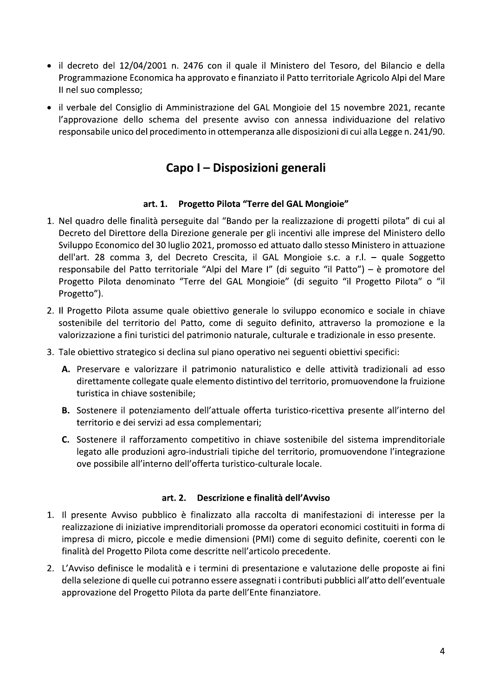- · il decreto del 12/04/2001 n. 2476 con il quale il Ministero del Tesoro, del Bilancio e della Programmazione Economica ha approvato e finanziato il Patto territoriale Agricolo Alpi del Mare Il nel suo complesso;
- · il verbale del Consiglio di Amministrazione del GAL Mongioie del 15 novembre 2021, recante l'approvazione dello schema del presente avviso con annessa individuazione del relativo responsabile unico del procedimento in ottemperanza alle disposizioni di cui alla Legge n. 241/90.

# Capo I - Disposizioni generali

#### Progetto Pilota "Terre del GAL Mongioie" art. 1.

- 1. Nel quadro delle finalità perseguite dal "Bando per la realizzazione di progetti pilota" di cui al Decreto del Direttore della Direzione generale per gli incentivi alle imprese del Ministero dello Sviluppo Economico del 30 luglio 2021, promosso ed attuato dallo stesso Ministero in attuazione dell'art. 28 comma 3, del Decreto Crescita, il GAL Mongioie s.c. a r.l. - quale Soggetto responsabile del Patto territoriale "Alpi del Mare I" (di seguito "il Patto") – è promotore del Progetto Pilota denominato "Terre del GAL Mongioie" (di seguito "il Progetto Pilota" o "il Progetto").
- 2. Il Progetto Pilota assume quale obiettivo generale lo sviluppo economico e sociale in chiave sostenibile del territorio del Patto, come di seguito definito, attraverso la promozione e la valorizzazione a fini turistici del patrimonio naturale, culturale e tradizionale in esso presente.
- 3. Tale obiettivo strategico si declina sul piano operativo nei seguenti obiettivi specifici:
	- A. Preservare e valorizzare il patrimonio naturalistico e delle attività tradizionali ad esso direttamente collegate quale elemento distintivo del territorio, promuovendone la fruizione turistica in chiave sostenibile;
	- B. Sostenere il potenziamento dell'attuale offerta turistico-ricettiva presente all'interno del territorio e dei servizi ad essa complementari;
	- C. Sostenere il rafforzamento competitivo in chiave sostenibile del sistema imprenditoriale legato alle produzioni agro-industriali tipiche del territorio, promuovendone l'integrazione ove possibile all'interno dell'offerta turistico-culturale locale.

#### Descrizione e finalità dell'Avviso art. 2.

- 1. Il presente Avviso pubblico è finalizzato alla raccolta di manifestazioni di interesse per la realizzazione di iniziative imprenditoriali promosse da operatori economici costituiti in forma di impresa di micro, piccole e medie dimensioni (PMI) come di seguito definite, coerenti con le finalità del Progetto Pilota come descritte nell'articolo precedente.
- 2. L'Avviso definisce le modalità e i termini di presentazione e valutazione delle proposte ai fini della selezione di quelle cui potranno essere assegnati i contributi pubblici all'atto dell'eventuale approvazione del Progetto Pilota da parte dell'Ente finanziatore.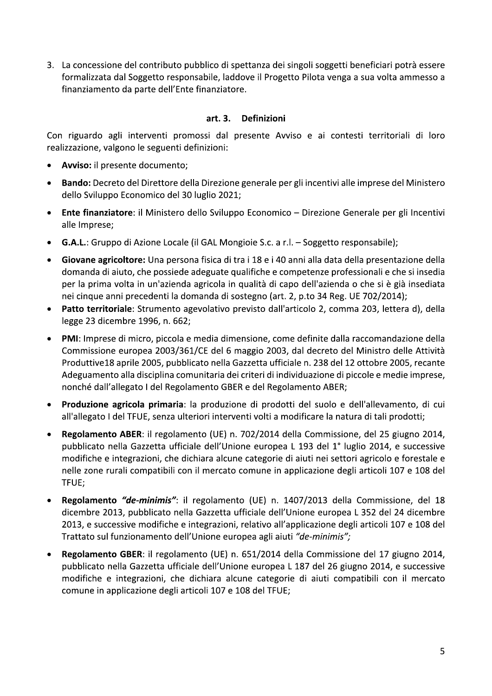3. La concessione del contributo pubblico di spettanza dei singoli soggetti beneficiari potrà essere formalizzata dal Soggetto responsabile, laddove il Progetto Pilota venga a sua volta ammesso a finanziamento da parte dell'Ente finanziatore.

#### art. 3. **Definizioni**

Con riguardo agli interventi promossi dal presente Avviso e ai contesti territoriali di loro realizzazione, valgono le seguenti definizioni:

- **Avviso:** il presente documento;
- Bando: Decreto del Direttore della Direzione generale per gli incentivi alle imprese del Ministero dello Sviluppo Economico del 30 luglio 2021;
- **Ente finanziatore:** il Ministero dello Sviluppo Economico Direzione Generale per gli Incentivi alle Imprese;
- **G.A.L.:** Gruppo di Azione Locale (il GAL Mongioie S.c. a r.l. Soggetto responsabile);
- Giovane agricoltore: Una persona fisica di tra i 18 e i 40 anni alla data della presentazione della domanda di aiuto, che possiede adeguate qualifiche e competenze professionali e che si insedia per la prima volta in un'azienda agricola in qualità di capo dell'azienda o che si è già insediata nei cinque anni precedenti la domanda di sostegno (art. 2, p.to 34 Reg. UE 702/2014);
- **Patto territoriale**: Strumento agevolativo previsto dall'articolo 2, comma 203, lettera d), della legge 23 dicembre 1996, n. 662;
- PMI: Imprese di micro, piccola e media dimensione, come definite dalla raccomandazione della Commissione europea 2003/361/CE del 6 maggio 2003, dal decreto del Ministro delle Attività Produttive 18 aprile 2005, pubblicato nella Gazzetta ufficiale n. 238 del 12 ottobre 2005, recante Adeguamento alla disciplina comunitaria dei criteri di individuazione di piccole e medie imprese, nonché dall'allegato I del Regolamento GBER e del Regolamento ABER;
- Produzione agricola primaria: la produzione di prodotti del suolo e dell'allevamento, di cui all'allegato I del TFUE, senza ulteriori interventi volti a modificare la natura di tali prodotti;
- Regolamento ABER: il regolamento (UE) n. 702/2014 della Commissione, del 25 giugno 2014, pubblicato nella Gazzetta ufficiale dell'Unione europea L 193 del 1° luglio 2014, e successive modifiche e integrazioni, che dichiara alcune categorie di aiuti nei settori agricolo e forestale e nelle zone rurali compatibili con il mercato comune in applicazione degli articoli 107 e 108 del TFUE;
- **Regolamento "de-minimis"**: il regolamento (UE) n. 1407/2013 della Commissione, del 18 dicembre 2013, pubblicato nella Gazzetta ufficiale dell'Unione europea L 352 del 24 dicembre 2013, e successive modifiche e integrazioni, relativo all'applicazione degli articoli 107 e 108 del Trattato sul funzionamento dell'Unione europea agli aiuti "de-minimis";
- Regolamento GBER: il regolamento (UE) n. 651/2014 della Commissione del 17 giugno 2014, pubblicato nella Gazzetta ufficiale dell'Unione europea L 187 del 26 giugno 2014, e successive modifiche e integrazioni, che dichiara alcune categorie di aiuti compatibili con il mercato comune in applicazione degli articoli 107 e 108 del TFUE;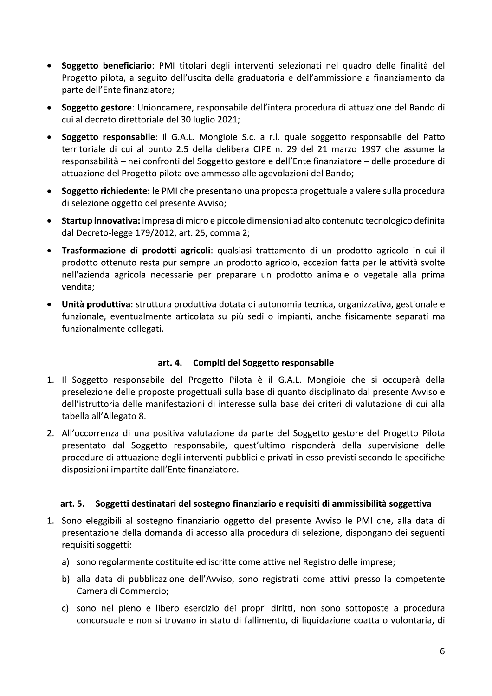- Soggetto beneficiario: PMI titolari degli interventi selezionati nel quadro delle finalità del Progetto pilota, a seguito dell'uscita della graduatoria e dell'ammissione a finanziamento da parte dell'Ente finanziatore;
- Soggetto gestore: Unioncamere, responsabile dell'intera procedura di attuazione del Bando di cui al decreto direttoriale del 30 luglio 2021;
- Soggetto responsabile: il G.A.L. Mongioie S.c. a r.l. quale soggetto responsabile del Patto territoriale di cui al punto 2.5 della delibera CIPE n. 29 del 21 marzo 1997 che assume la responsabilità - nei confronti del Soggetto gestore e dell'Ente finanziatore - delle procedure di attuazione del Progetto pilota ove ammesso alle agevolazioni del Bando;
- Soggetto richiedente: le PMI che presentano una proposta progettuale a valere sulla procedura di selezione oggetto del presente Avviso;
- Startup innovativa: impresa di micro e piccole dimensioni ad alto contenuto tecnologico definita dal Decreto-legge 179/2012, art. 25, comma 2;
- Trasformazione di prodotti agricoli: qualsiasi trattamento di un prodotto agricolo in cui il prodotto ottenuto resta pur sempre un prodotto agricolo, eccezion fatta per le attività svolte nell'azienda agricola necessarie per preparare un prodotto animale o vegetale alla prima vendita:
- Unità produttiva: struttura produttiva dotata di autonomia tecnica, organizzativa, gestionale e funzionale, eventualmente articolata su più sedi o impianti, anche fisicamente separati ma funzionalmente collegati.

### art. 4. Compiti del Soggetto responsabile

- 1. Il Soggetto responsabile del Progetto Pilota è il G.A.L. Mongioie che si occuperà della preselezione delle proposte progettuali sulla base di quanto disciplinato dal presente Avviso e dell'istruttoria delle manifestazioni di interesse sulla base dei criteri di valutazione di cui alla tabella all'Allegato 8.
- 2. All'occorrenza di una positiva valutazione da parte del Soggetto gestore del Progetto Pilota presentato dal Soggetto responsabile, quest'ultimo risponderà della supervisione delle procedure di attuazione degli interventi pubblici e privati in esso previsti secondo le specifiche disposizioni impartite dall'Ente finanziatore.

#### art. 5. Soggetti destinatari del sostegno finanziario e requisiti di ammissibilità soggettiva

- 1. Sono eleggibili al sostegno finanziario oggetto del presente Avviso le PMI che, alla data di presentazione della domanda di accesso alla procedura di selezione, dispongano dei seguenti requisiti soggetti:
	- a) sono regolarmente costituite ed iscritte come attive nel Registro delle imprese;
	- b) alla data di pubblicazione dell'Avviso, sono registrati come attivi presso la competente Camera di Commercio;
	- c) sono nel pieno e libero esercizio dei propri diritti, non sono sottoposte a procedura concorsuale e non si trovano in stato di fallimento, di liquidazione coatta o volontaria, di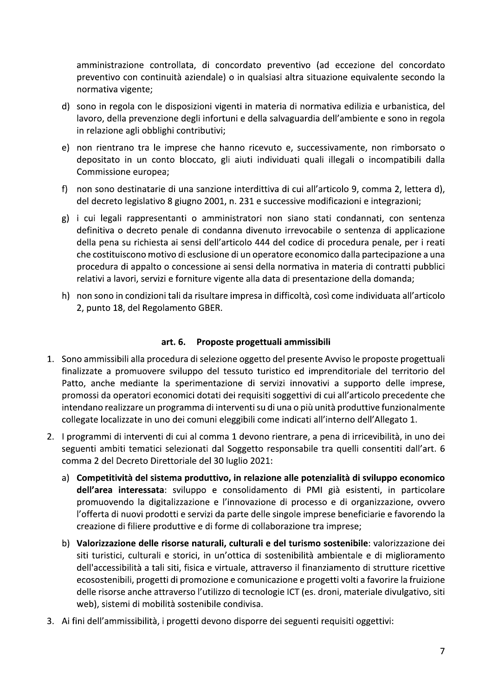amministrazione controllata, di concordato preventivo (ad eccezione del concordato preventivo con continuità aziendale) o in qualsiasi altra situazione equivalente secondo la normativa vigente;

- d) sono in regola con le disposizioni vigenti in materia di normativa edilizia e urbanistica, del lavoro, della prevenzione degli infortuni e della salvaguardia dell'ambiente e sono in regola in relazione agli obblighi contributivi;
- e) non rientrano tra le imprese che hanno ricevuto e, successivamente, non rimborsato o depositato in un conto bloccato, gli aiuti individuati quali illegali o incompatibili dalla Commissione europea;
- f) non sono destinatarie di una sanzione interdittiva di cui all'articolo 9, comma 2, lettera d), del decreto legislativo 8 giugno 2001, n. 231 e successive modificazioni e integrazioni;
- g) i cui legali rappresentanti o amministratori non siano stati condannati, con sentenza definitiva o decreto penale di condanna divenuto irrevocabile o sentenza di applicazione della pena su richiesta ai sensi dell'articolo 444 del codice di procedura penale, per i reati che costituiscono motivo di esclusione di un operatore economico dalla partecipazione a una procedura di appalto o concessione ai sensi della normativa in materia di contratti pubblici relativi a lavori, servizi e forniture vigente alla data di presentazione della domanda;
- h) non sono in condizioni tali da risultare impresa in difficoltà, così come individuata all'articolo 2, punto 18, del Regolamento GBER.

#### Proposte progettuali ammissibili art. 6.

- 1. Sono ammissibili alla procedura di selezione oggetto del presente Avviso le proposte progettuali finalizzate a promuovere sviluppo del tessuto turistico ed imprenditoriale del territorio del Patto, anche mediante la sperimentazione di servizi innovativi a supporto delle imprese, promossi da operatori economici dotati dei requisiti soggettivi di cui all'articolo precedente che intendano realizzare un programma di interventi su di una o più unità produttive funzionalmente collegate localizzate in uno dei comuni eleggibili come indicati all'interno dell'Allegato 1.
- 2. I programmi di interventi di cui al comma 1 devono rientrare, a pena di irricevibilità, in uno dei seguenti ambiti tematici selezionati dal Soggetto responsabile tra quelli consentiti dall'art. 6 comma 2 del Decreto Direttoriale del 30 luglio 2021:
	- a) Competitività del sistema produttivo, in relazione alle potenzialità di sviluppo economico dell'area interessata: sviluppo e consolidamento di PMI già esistenti, in particolare promuovendo la digitalizzazione e l'innovazione di processo e di organizzazione, ovvero l'offerta di nuovi prodotti e servizi da parte delle singole imprese beneficiarie e favorendo la creazione di filiere produttive e di forme di collaborazione tra imprese;
	- b) Valorizzazione delle risorse naturali, culturali e del turismo sostenibile: valorizzazione dei siti turistici, culturali e storici, in un'ottica di sostenibilità ambientale e di miglioramento dell'accessibilità a tali siti, fisica e virtuale, attraverso il finanziamento di strutture ricettive ecosostenibili, progetti di promozione e comunicazione e progetti volti a favorire la fruizione delle risorse anche attraverso l'utilizzo di tecnologie ICT (es. droni, materiale divulgativo, siti web), sistemi di mobilità sostenibile condivisa.
- 3. Ai fini dell'ammissibilità, i progetti devono disporre dei seguenti requisiti oggettivi: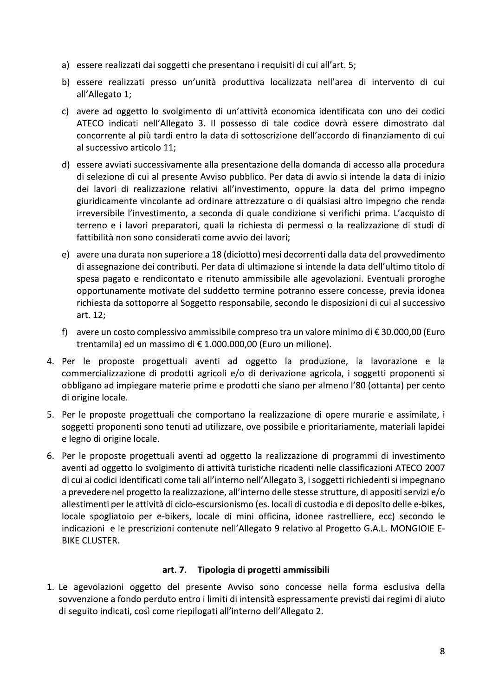- a) essere realizzati dai soggetti che presentano i requisiti di cui all'art. 5;
- b) essere realizzati presso un'unità produttiva localizzata nell'area di intervento di cui all'Allegato 1;
- c) avere ad oggetto lo svolgimento di un'attività economica identificata con uno dei codici ATECO indicati nell'Allegato 3. Il possesso di tale codice dovrà essere dimostrato dal concorrente al più tardi entro la data di sottoscrizione dell'accordo di finanziamento di cui al successivo articolo 11;
- d) essere avviati successivamente alla presentazione della domanda di accesso alla procedura di selezione di cui al presente Avviso pubblico. Per data di avvio si intende la data di inizio dei lavori di realizzazione relativi all'investimento, oppure la data del primo impegno giuridicamente vincolante ad ordinare attrezzature o di qualsiasi altro impegno che renda irreversibile l'investimento, a seconda di quale condizione si verifichi prima. L'acquisto di terreno e i lavori preparatori, quali la richiesta di permessi o la realizzazione di studi di fattibilità non sono considerati come avvio dei lavori;
- e) avere una durata non superiore a 18 (diciotto) mesi decorrenti dalla data del provvedimento di assegnazione dei contributi. Per data di ultimazione si intende la data dell'ultimo titolo di spesa pagato e rendicontato e ritenuto ammissibile alle agevolazioni. Eventuali proroghe opportunamente motivate del suddetto termine potranno essere concesse, previa idonea richiesta da sottoporre al Soggetto responsabile, secondo le disposizioni di cui al successivo art. 12;
- f) avere un costo complessivo ammissibile compreso tra un valore minimo di  $\epsilon$  30.000,00 (Euro trentamila) ed un massimo di € 1.000.000,00 (Euro un milione).
- 4. Per le proposte progettuali aventi ad oggetto la produzione, la lavorazione e la commercializzazione di prodotti agricoli e/o di derivazione agricola, i soggetti proponenti si obbligano ad impiegare materie prime e prodotti che siano per almeno l'80 (ottanta) per cento di origine locale.
- 5. Per le proposte progettuali che comportano la realizzazione di opere murarie e assimilate, i soggetti proponenti sono tenuti ad utilizzare, ove possibile e prioritariamente, materiali lapidei e legno di origine locale.
- 6. Per le proposte progettuali aventi ad oggetto la realizzazione di programmi di investimento aventi ad oggetto lo svolgimento di attività turistiche ricadenti nelle classificazioni ATECO 2007 di cui ai codici identificati come tali all'interno nell'Allegato 3, i soggetti richiedenti si impegnano a prevedere nel progetto la realizzazione, all'interno delle stesse strutture, di appositi servizi e/o allestimenti per le attività di ciclo-escursionismo (es. locali di custodia e di deposito delle e-bikes, locale spogliatoio per e-bikers, locale di mini officina, idonee rastrelliere, ecc) secondo le indicazioni e le prescrizioni contenute nell'Allegato 9 relativo al Progetto G.A.L. MONGIOIE E-**BIKE CLUSTER.**

### art. 7. Tipologia di progetti ammissibili

1. Le agevolazioni oggetto del presente Avviso sono concesse nella forma esclusiva della sovvenzione a fondo perduto entro i limiti di intensità espressamente previsti dai regimi di aiuto di seguito indicati, così come riepilogati all'interno dell'Allegato 2.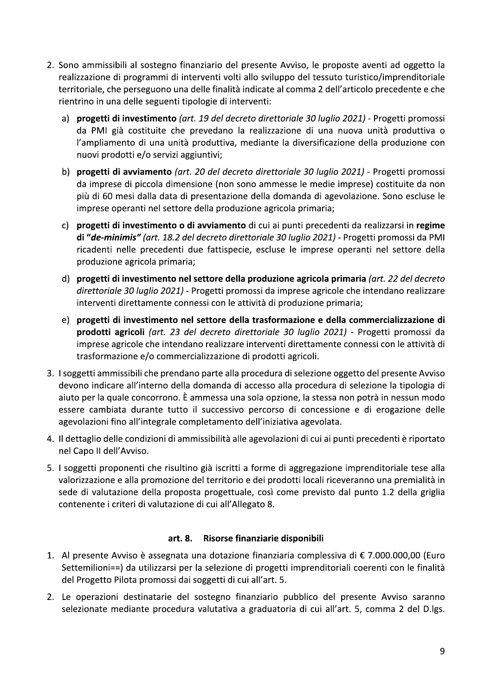- 2. Sono ammissibili al sostegno finanziario del presente Avviso, le proposte aventi ad oggetto la realizzazione di programmi di interventi volti allo sviluppo del tessuto turistico/imprenditoriale territoriale, che perseguono una delle finalita indicate al comma 2 dell'articolo precedente e che rientrino in una delle seguenti tipologie di interventi: 2. Sono ammissibili al sostegno finanziario del presente Avviso, le proposte aventi ad og<br>
realizzazione di programmi di interventi volti allo sviluppo del tessuto turistico/impreno<br>
territoriale, che perseguono una delle
	- a) progetti di investimento (art. 19 del decreto direttoriale 30 luglio 2021) Progetti promossi da PMI gia costituite che prevedano la realizzazione di una nuova unita produttiva o l'ampliamento di una unita produttiva, mediante la diversificazione della produzione con nuovi prodotti e/o servizi aggiuntivi;
	- b) progetti di avviamento (art. 20 del decreto direttoriale 30 luglio 2021) Progetti promossi da imprese di piccola dimensione (non sono ammesse le medie imprese) costituite da non più di 60 mesi dalla data di presentazione della domanda di agevolazione. Sono escluse le imprese operanti nel settore della produzione agricola primaria;
- realizzazione di programmi di interventi volti allo sviluppo del tessuto turistico/imprendenterrichicle, che perseguono una delle finaltà indicate al comma 2 dell'articolo precedente rientrino in una delle seguenti tipolog da PIVII gia costituite che prevedano la realizzazione di una ni<br>
l'ampliamento di una unità produttiva, mediante la diversificazio<br>
nuovi prodotti e/o servizi aggiuntivi;<br>
b) **progetti di avviamento** (*art. 20 del decret* cui ai punti precedenti da realizzarsi in a PMI gia costructe cne preverano la realizzazione di una unità produttiva, mediante la diversificazione della produzione con<br>
l'ampliamento di una unità produttiva, mediante la diversificazione della produzione con<br>
nuov promossi da PMI ricadenti nelle precedenti due fattispecie, escluse le imprese operanti nel settore della produzione agricola primaria; di 60 messione (non sono ammesse le medie imprese) costituite da non<br>più di 60 mesi dalla dati presentazione della domanda di agevolazione. Sono escluse le<br>imprese operanti nel settore della produzione agricola primaria;<br>c
	- promossi da imprese agrícole che intendano realizzare interventi direttamente connessi con le attivita di produzione primaria;
	- promossi da imprese agricole che intendano realizzare interventi direttamente connessi con le attività di trasformazione e/o commercializzazione di prodotti agricoli.
	- F **and the external of an avoken when the** out at puntil precedent dareastzasti in regime-<br>
	di "de-minimis" (art. 18.2 del decreto direttoriale 30 luglio 2021) Progetti promossi da PMI<br>
	ricadenti nelle precedenti due fa 3. Tsoggetti ammissibili che prendano parte alla procedura di selezione oggetto del presente Avviso devono indicare all'interno della domanda di accesso alla procedura di selezione la tipologia di aiuto per la quale concorrono. È ammessa una sola opzione, la stessa non potra in nessun modo essere cambiata durante tutto il successivo percorso di concessione e di erogazione delle agevolazioni fino all'integrale completamento dell'iniziativa agevolata.
		- 4. Il dettaglio delle condizioni di ammissibilità alle agevolazioni di cui ai punti precedenti e riportato in nel Capo II dell'Avviso.
		- 5. I soggetti proponenti che risultino gia iscritti a forme di aggregazione imprenditoriale tese alla valorizzazione e alla promozione del territorio e dei prodotti locali riceveranno una premialita in sede di valutazione della proposta progettuale, così come previsto dal punto 1.2 della griglia contenente i criteri di valutazione di cui all'Allegato 8. mel Capo II dell'Avviso.<br>
		5. I soggetti proponenti che risultino già iscritti a forme di aggregazione imprenditoriale te:<br>
		valorizzazione e alla promozione del territorio e dei prodotti locali riceveranno una premia<br>
		sede

- so e assegnata una dotazione finanziaria complessiva di  $\epsilon$  7.000.000,00 (Euro Settemilioni==) da utilizzarsi per la selezione di progetti imprenditoriali coerenti con le finalita del Progetto Pilota promossi dai soggetti di cui all'art. 5.
- 2. Le operazioni destinatarie del sostegno finanziario pubblico del presente Avviso saranno selezionate mediante procedura valutativa a graduatoria di cui all'art. 5, comma 2 del D.lgs.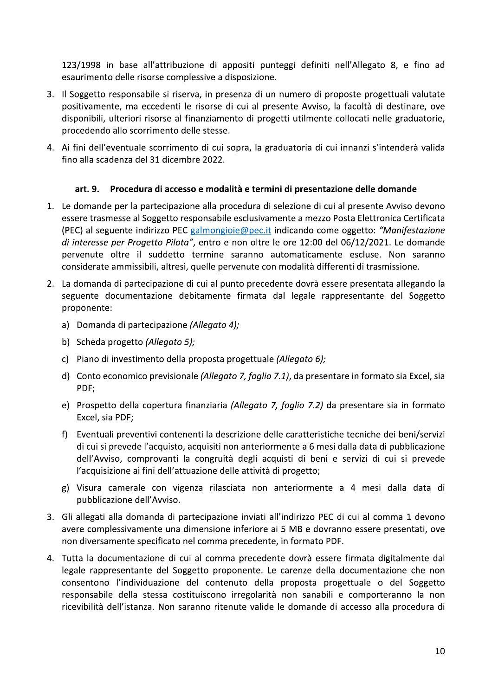123/1998 in base all'attribuzione di appositi punteggi definiti nell'Allegato 8, e fino ad esaurimento delle risorse complessive a disposizione.

- 3. Il Soggetto responsabile si riserva, in presenza di un numero di proposte progettuali valutate positivamente, ma eccedenti le risorse di cui al presente Avviso, la facoltà di destinare, ove disponibili, ulteriori risorse al finanziamento di progetti utilmente collocati nelle graduatorie, procedendo allo scorrimento delle stesse.
- 4. Ai fini dell'eventuale scorrimento di cui sopra, la graduatoria di cui innanzi s'intenderà valida fino alla scadenza del 31 dicembre 2022.

#### art. 9. Procedura di accesso e modalità e termini di presentazione delle domande

- 1. Le domande per la partecipazione alla procedura di selezione di cui al presente Avviso devono essere trasmesse al Soggetto responsabile esclusivamente a mezzo Posta Elettronica Certificata (PEC) al seguente indirizzo PEC galmongioie@pec.it indicando come oggetto: "Manifestazione di interesse per Progetto Pilota", entro e non oltre le ore 12:00 del 06/12/2021. Le domande pervenute oltre il suddetto termine saranno automaticamente escluse. Non saranno considerate ammissibili, altresì, quelle pervenute con modalità differenti di trasmissione.
- 2. La domanda di partecipazione di cui al punto precedente dovrà essere presentata allegando la seguente documentazione debitamente firmata dal legale rappresentante del Soggetto proponente:
	- a) Domanda di partecipazione (Allegato 4);
	- b) Scheda progetto (Allegato 5);
	- c) Piano di investimento della proposta progettuale (Allegato 6);
	- d) Conto economico previsionale (Allegato 7, foglio 7.1), da presentare in formato sia Excel, sia PDF;
	- e) Prospetto della copertura finanziaria (Allegato 7, foglio 7.2) da presentare sia in formato Excel, sia PDF;
	- f) Eventuali preventivi contenenti la descrizione delle caratteristiche tecniche dei beni/servizi di cui si prevede l'acquisto, acquisiti non anteriormente a 6 mesi dalla data di pubblicazione dell'Avviso, comprovanti la congruità degli acquisti di beni e servizi di cui si prevede l'acquisizione ai fini dell'attuazione delle attività di progetto;
	- g) Visura camerale con vigenza rilasciata non anteriormente a 4 mesi dalla data di pubblicazione dell'Avviso.
- 3. Gli allegati alla domanda di partecipazione inviati all'indirizzo PEC di cui al comma 1 devono avere complessivamente una dimensione inferiore ai 5 MB e dovranno essere presentati, ove non diversamente specificato nel comma precedente, in formato PDF.
- 4. Tutta la documentazione di cui al comma precedente dovrà essere firmata digitalmente dal legale rappresentante del Soggetto proponente. Le carenze della documentazione che non consentono l'individuazione del contenuto della proposta progettuale o del Soggetto responsabile della stessa costituiscono irregolarità non sanabili e comporteranno la non ricevibilità dell'istanza. Non saranno ritenute valide le domande di accesso alla procedura di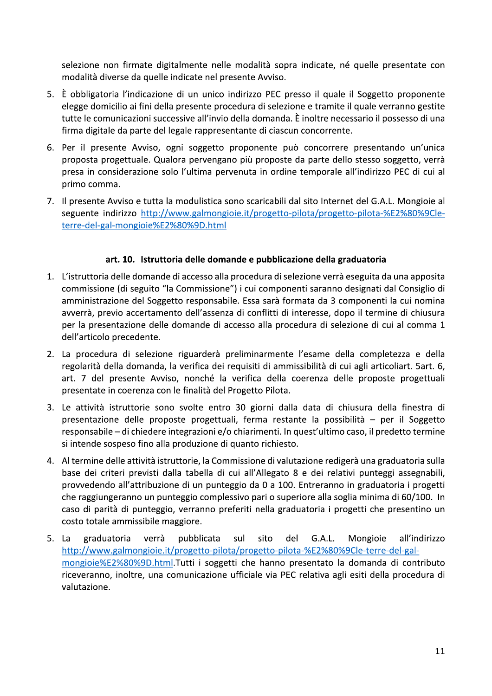selezione non firmate digitalmente nelle modalità sopra indicate, né quelle presentate con modalità diverse da quelle indicate nel presente Avviso.

- 5. È obbligatoria l'indicazione di un unico indirizzo PEC presso il quale il Soggetto proponente elegge domicilio ai fini della presente procedura di selezione e tramite il quale verranno gestite tutte le comunicazioni successive all'invio della domanda. È inoltre necessario il possesso di una firma digitale da parte del legale rappresentante di ciascun concorrente.
- 6. Per il presente Avviso, ogni soggetto proponente può concorrere presentando un'unica proposta progettuale. Qualora pervengano più proposte da parte dello stesso soggetto, verrà presa in considerazione solo l'ultima pervenuta in ordine temporale all'indirizzo PEC di cui al primo comma.
- 7. Il presente Avviso e tutta la modulistica sono scaricabili dal sito Internet del G.A.L. Mongioie al seguente indirizzo http://www.galmongioie.it/progetto-pilota/progetto-pilota-%E2%80%9Cleterre-del-gal-mongioie%E2%80%9D.html

## art. 10. Istruttoria delle domande e pubblicazione della graduatoria

- 1. L'istruttoria delle domande di accesso alla procedura di selezione verrà eseguita da una apposita commissione (di seguito "la Commissione") i cui componenti saranno designati dal Consiglio di amministrazione del Soggetto responsabile. Essa sarà formata da 3 componenti la cui nomina avverrà, previo accertamento dell'assenza di conflitti di interesse, dopo il termine di chiusura per la presentazione delle domande di accesso alla procedura di selezione di cui al comma 1 dell'articolo precedente.
- 2. La procedura di selezione riguarderà preliminarmente l'esame della completezza e della regolarità della domanda, la verifica dei requisiti di ammissibilità di cui agli articoliart. 5art. 6, art. 7 del presente Avviso, nonché la verifica della coerenza delle proposte progettuali presentate in coerenza con le finalità del Progetto Pilota.
- 3. Le attività istruttorie sono svolte entro 30 giorni dalla data di chiusura della finestra di presentazione delle proposte progettuali, ferma restante la possibilità - per il Soggetto responsabile – di chiedere integrazioni e/o chiarimenti. In quest'ultimo caso, il predetto termine si intende sospeso fino alla produzione di quanto richiesto.
- 4. Al termine delle attività istruttorie, la Commissione di valutazione redigerà una graduatoria sulla base dei criteri previsti dalla tabella di cui all'Allegato 8 e dei relativi punteggi assegnabili, provvedendo all'attribuzione di un punteggio da 0 a 100. Entreranno in graduatoria i progetti che raggiungeranno un punteggio complessivo pari o superiore alla soglia minima di 60/100. In caso di parità di punteggio, verranno preferiti nella graduatoria i progetti che presentino un costo totale ammissibile maggiore.
- 5. La graduatoria verrà pubblicata sul sito del G.A.L. Mongioie all'indirizzo http://www.galmongioie.it/progetto-pilota/progetto-pilota-%E2%80%9Cle-terre-del-galmongioie%E2%80%9D.html.Tutti i soggetti che hanno presentato la domanda di contributo riceveranno, inoltre, una comunicazione ufficiale via PEC relativa agli esiti della procedura di valutazione.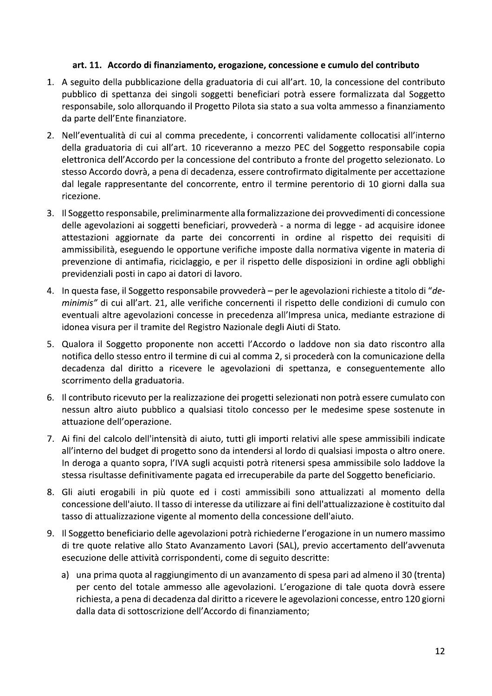#### art. 11. Accordo di finanziamento, erogazione, concessione e cumulo del contributo

- 1. A seguito della pubblicazione della graduatoria di cui all'art. 10, la concessione del contributo pubblico di spettanza dei singoli soggetti beneficiari potrà essere formalizzata dal Soggetto responsabile, solo allorquando il Progetto Pilota sia stato a sua volta ammesso a finanziamento da parte dell'Ente finanziatore.
- 2. Nell'eventualità di cui al comma precedente, i concorrenti validamente collocatisi all'interno della graduatoria di cui all'art. 10 riceveranno a mezzo PEC del Soggetto responsabile copia elettronica dell'Accordo per la concessione del contributo a fronte del progetto selezionato. Lo stesso Accordo dovrà, a pena di decadenza, essere controfirmato digitalmente per accettazione dal legale rappresentante del concorrente, entro il termine perentorio di 10 giorni dalla sua ricezione.
- 3. Il Soggetto responsabile, preliminarmente alla formalizzazione dei provvedimenti di concessione delle agevolazioni ai soggetti beneficiari, provvederà - a norma di legge - ad acquisire idonee attestazioni aggiornate da parte dei concorrenti in ordine al rispetto dei requisiti di ammissibilità, eseguendo le opportune verifiche imposte dalla normativa vigente in materia di prevenzione di antimafia, riciclaggio, e per il rispetto delle disposizioni in ordine agli obblighi previdenziali posti in capo ai datori di lavoro.
- 4. In questa fase, il Soggetto responsabile provvederà per le agevolazioni richieste a titolo di "deminimis" di cui all'art. 21, alle verifiche concernenti il rispetto delle condizioni di cumulo con eventuali altre agevolazioni concesse in precedenza all'Impresa unica, mediante estrazione di idonea visura per il tramite del Registro Nazionale degli Aiuti di Stato.
- 5. Qualora il Soggetto proponente non accetti l'Accordo o laddove non sia dato riscontro alla notifica dello stesso entro il termine di cui al comma 2, si procederà con la comunicazione della decadenza dal diritto a ricevere le agevolazioni di spettanza, e conseguentemente allo scorrimento della graduatoria.
- 6. Il contributo ricevuto per la realizzazione dei progetti selezionati non potrà essere cumulato con nessun altro aiuto pubblico a qualsiasi titolo concesso per le medesime spese sostenute in attuazione dell'operazione.
- 7. Ai fini del calcolo dell'intensità di aiuto, tutti gli importi relativi alle spese ammissibili indicate all'interno del budget di progetto sono da intendersi al lordo di qualsiasi imposta o altro onere. In deroga a quanto sopra, l'IVA sugli acquisti potrà ritenersi spesa ammissibile solo laddove la stessa risultasse definitivamente pagata ed irrecuperabile da parte del Soggetto beneficiario.
- 8. Gli aiuti erogabili in più quote ed i costi ammissibili sono attualizzati al momento della concessione dell'aiuto. Il tasso di interesse da utilizzare ai fini dell'attualizzazione è costituito dal tasso di attualizzazione vigente al momento della concessione dell'aiuto.
- 9. Il Soggetto beneficiario delle agevolazioni potrà richiederne l'erogazione in un numero massimo di tre quote relative allo Stato Avanzamento Lavori (SAL), previo accertamento dell'avvenuta esecuzione delle attività corrispondenti, come di seguito descritte:
	- a) una prima quota al raggiungimento di un avanzamento di spesa pari ad almeno il 30 (trenta) per cento del totale ammesso alle agevolazioni. L'erogazione di tale quota dovrà essere richiesta, a pena di decadenza dal diritto a ricevere le agevolazioni concesse, entro 120 giorni dalla data di sottoscrizione dell'Accordo di finanziamento;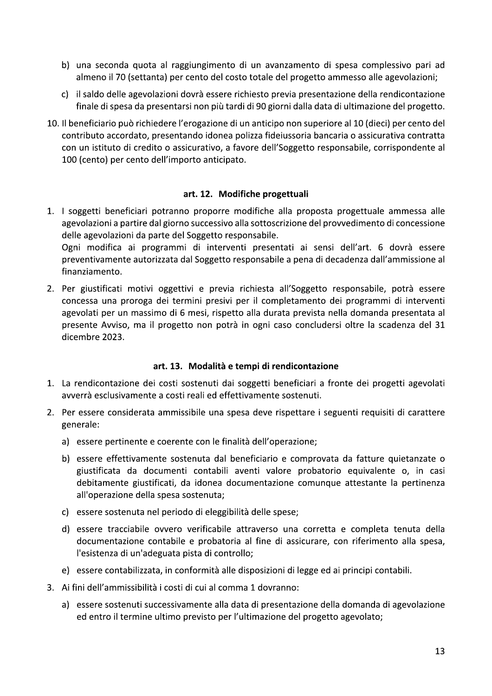- b) una seconda quota al raggiungimento di un avanzamento di spesa complessivo pari ad almeno il 70 (settanta) per cento del costo totale del progetto ammesso alle agevolazioni;
- c) il saldo delle agevolazioni dovrà essere richiesto previa presentazione della rendicontazione finale di spesa da presentarsi non più tardi di 90 giorni dalla data di ultimazione del progetto.
- 10. Il beneficiario può richiedere l'erogazione di un anticipo non superiore al 10 (dieci) per cento del contributo accordato, presentando idonea polizza fideiussoria bancaria o assicurativa contratta con un istituto di credito o assicurativo, a favore dell'Soggetto responsabile, corrispondente al 100 (cento) per cento dell'importo anticipato.

### art. 12. Modifiche progettuali

1. I soggetti beneficiari potranno proporre modifiche alla proposta progettuale ammessa alle agevolazioni a partire dal giorno successivo alla sottoscrizione del provvedimento di concessione delle agevolazioni da parte del Soggetto responsabile. Ogni modifica ai programmi di interventi presentati ai sensi dell'art. 6 dovrà essere

preventivamente autorizzata dal Soggetto responsabile a pena di decadenza dall'ammissione al finanziamento.

2. Per giustificati motivi oggettivi e previa richiesta all'Soggetto responsabile, potrà essere concessa una proroga dei termini presivi per il completamento dei programmi di interventi agevolati per un massimo di 6 mesi, rispetto alla durata prevista nella domanda presentata al presente Avviso, ma il progetto non potrà in ogni caso concludersi oltre la scadenza del 31 dicembre 2023.

### art. 13. Modalità e tempi di rendicontazione

- 1. La rendicontazione dei costi sostenuti dai soggetti beneficiari a fronte dei progetti agevolati avverrà esclusivamente a costi reali ed effettivamente sostenuti.
- 2. Per essere considerata ammissibile una spesa deve rispettare i seguenti requisiti di carattere generale:
	- a) essere pertinente e coerente con le finalità dell'operazione;
	- b) essere effettivamente sostenuta dal beneficiario e comprovata da fatture quietanzate o giustificata da documenti contabili aventi valore probatorio equivalente o, in casi debitamente giustificati, da idonea documentazione comunque attestante la pertinenza all'operazione della spesa sostenuta;
	- c) essere sostenuta nel periodo di eleggibilità delle spese;
	- d) essere tracciabile ovvero verificabile attraverso una corretta e completa tenuta della documentazione contabile e probatoria al fine di assicurare, con riferimento alla spesa, l'esistenza di un'adeguata pista di controllo;
	- e) essere contabilizzata, in conformità alle disposizioni di legge ed ai principi contabili.
- 3. Ai fini dell'ammissibilità i costi di cui al comma 1 dovranno:
	- a) essere sostenuti successivamente alla data di presentazione della domanda di agevolazione ed entro il termine ultimo previsto per l'ultimazione del progetto agevolato;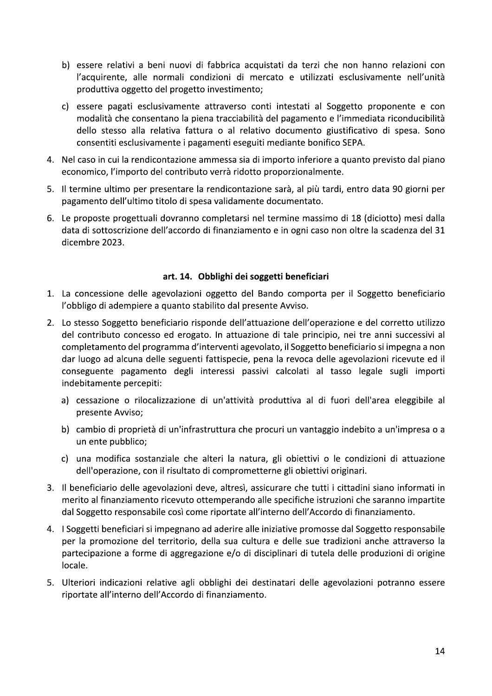- b) essere relativi a beni nuovi di fabbrica acquistati da terzi che non hanno relazioni con l'acquirente, alle normali condizioni di mercato e utilizzati esclusivamente nell'unità produttiva oggetto del progetto investimento;
- c) essere pagati esclusivamente attraverso conti intestati al Soggetto proponente e con modalità che consentano la piena tracciabilità del pagamento e l'immediata riconducibilità dello stesso alla relativa fattura o al relativo documento giustificativo di spesa. Sono consentiti esclusivamente i pagamenti eseguiti mediante bonifico SEPA.
- 4. Nel caso in cui la rendicontazione ammessa sia di importo inferiore a quanto previsto dal piano economico, l'importo del contributo verrà ridotto proporzionalmente.
- 5. Il termine ultimo per presentare la rendicontazione sarà, al più tardi, entro data 90 giorni per pagamento dell'ultimo titolo di spesa validamente documentato.
- 6. Le proposte progettuali dovranno completarsi nel termine massimo di 18 (diciotto) mesi dalla data di sottoscrizione dell'accordo di finanziamento e in ogni caso non oltre la scadenza del 31 dicembre 2023.

#### art. 14. Obblighi dei soggetti beneficiari

- 1. La concessione delle agevolazioni oggetto del Bando comporta per il Soggetto beneficiario l'obbligo di adempiere a quanto stabilito dal presente Avviso.
- 2. Lo stesso Soggetto beneficiario risponde dell'attuazione dell'operazione e del corretto utilizzo del contributo concesso ed erogato. In attuazione di tale principio, nei tre anni successivi al completamento del programma d'interventi agevolato, il Soggetto beneficiario si impegna a non dar luogo ad alcuna delle seguenti fattispecie, pena la revoca delle agevolazioni ricevute ed il conseguente pagamento degli interessi passivi calcolati al tasso legale sugli importi indebitamente percepiti:
	- a) cessazione o rilocalizzazione di un'attività produttiva al di fuori dell'area eleggibile al presente Avviso:
	- b) cambio di proprietà di un'infrastruttura che procuri un vantaggio indebito a un'impresa o a un ente pubblico;
	- c) una modifica sostanziale che alteri la natura, gli obiettivi o le condizioni di attuazione dell'operazione, con il risultato di comprometterne gli obiettivi originari.
- 3. Il beneficiario delle agevolazioni deve, altresì, assicurare che tutti i cittadini siano informati in merito al finanziamento ricevuto ottemperando alle specifiche istruzioni che saranno impartite dal Soggetto responsabile così come riportate all'interno dell'Accordo di finanziamento.
- 4. I Soggetti beneficiari si impegnano ad aderire alle iniziative promosse dal Soggetto responsabile per la promozione del territorio, della sua cultura e delle sue tradizioni anche attraverso la partecipazione a forme di aggregazione e/o di disciplinari di tutela delle produzioni di origine locale.
- 5. Ulteriori indicazioni relative agli obblighi dei destinatari delle agevolazioni potranno essere riportate all'interno dell'Accordo di finanziamento.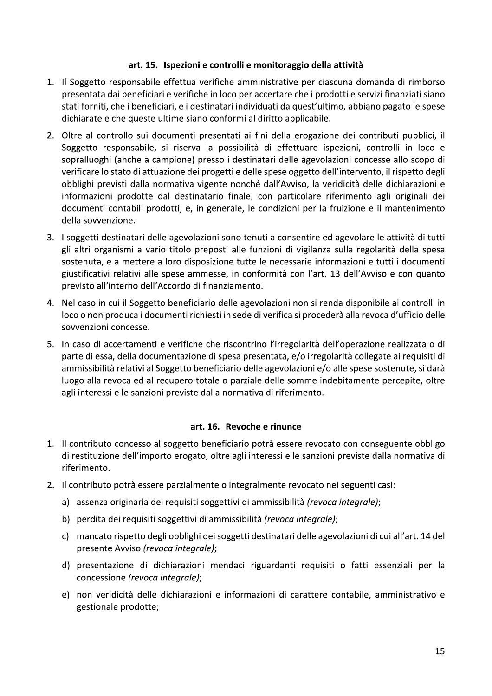#### art. 15. Ispezioni e controlli e monitoraggio della attività

- 1. Il Soggetto responsabile effettua verifiche amministrative per ciascuna domanda di rimborso presentata dai beneficiari e verifiche in loco per accertare che i prodotti e servizi finanziati siano stati forniti, che i beneficiari, e i destinatari individuati da quest'ultimo, abbiano pagato le spese dichiarate e che queste ultime siano conformi al diritto applicabile.
- 2. Oltre al controllo sui documenti presentati ai fini della erogazione dei contributi pubblici, il Soggetto responsabile, si riserva la possibilità di effettuare ispezioni, controlli in loco e sopralluoghi (anche a campione) presso i destinatari delle agevolazioni concesse allo scopo di verificare lo stato di attuazione dei progetti e delle spese oggetto dell'intervento, il rispetto degli obblighi previsti dalla normativa vigente nonché dall'Avviso, la veridicità delle dichiarazioni e informazioni prodotte dal destinatario finale, con particolare riferimento agli originali dei documenti contabili prodotti, e, in generale, le condizioni per la fruizione e il mantenimento della sovvenzione.
- 3. I soggetti destinatari delle agevolazioni sono tenuti a consentire ed agevolare le attività di tutti gli altri organismi a vario titolo preposti alle funzioni di vigilanza sulla regolarità della spesa sostenuta, e a mettere a loro disposizione tutte le necessarie informazioni e tutti i documenti giustificativi relativi alle spese ammesse, in conformità con l'art. 13 dell'Avviso e con quanto previsto all'interno dell'Accordo di finanziamento.
- 4. Nel caso in cui il Soggetto beneficiario delle agevolazioni non si renda disponibile ai controlli in loco o non produca i documenti richiesti in sede di verifica si procederà alla revoca d'ufficio delle sovvenzioni concesse.
- 5. In caso di accertamenti e verifiche che riscontrino l'irregolarità dell'operazione realizzata o di parte di essa, della documentazione di spesa presentata, e/o irregolarità collegate ai requisiti di ammissibilità relativi al Soggetto beneficiario delle agevolazioni e/o alle spese sostenute, si darà luogo alla revoca ed al recupero totale o parziale delle somme indebitamente percepite, oltre agli interessi e le sanzioni previste dalla normativa di riferimento.

### art. 16. Revoche e rinunce

- 1. Il contributo concesso al soggetto beneficiario potrà essere revocato con conseguente obbligo di restituzione dell'importo erogato, oltre agli interessi e le sanzioni previste dalla normativa di riferimento.
- 2. Il contributo potrà essere parzialmente o integralmente revocato nei seguenti casi:
	- a) assenza originaria dei requisiti soggettivi di ammissibilità (revoca integrale);
	- b) perdita dei requisiti soggettivi di ammissibilità (revoca integrale);
	- c) mancato rispetto degli obblighi dei soggetti destinatari delle agevolazioni di cui all'art. 14 del presente Avviso (revoca integrale);
	- d) presentazione di dichiarazioni mendaci riguardanti requisiti o fatti essenziali per la concessione (revoca integrale);
	- e) non veridicità delle dichiarazioni e informazioni di carattere contabile, amministrativo e gestionale prodotte;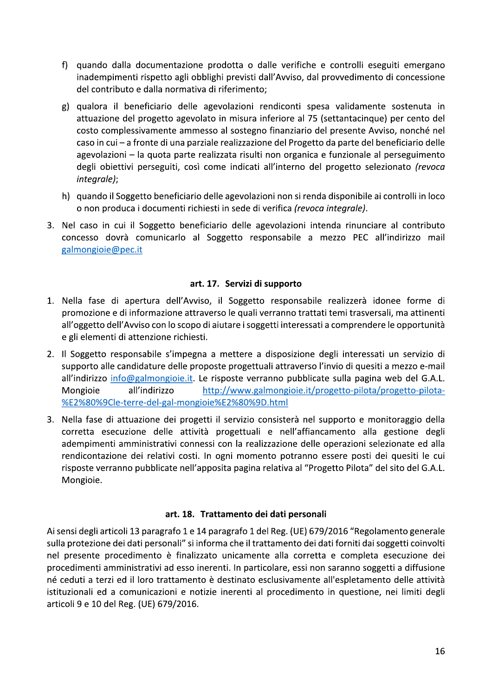- f) quando dalla documentazione prodotta o dalle verifiche e controlli eseguiti emergano inadempimenti rispetto agli obblighi previsti dall'Avviso, dal provvedimento di concessione del contributo e dalla normativa di riferimento;
- g) qualora il beneficiario delle agevolazioni rendiconti spesa validamente sostenuta in attuazione del progetto agevolato in misura inferiore al 75 (settantacinque) per cento del costo complessivamente ammesso al sostegno finanziario del presente Avviso, nonché nel caso in cui - a fronte di una parziale realizzazione del Progetto da parte del beneficiario delle agevolazioni – la quota parte realizzata risulti non organica e funzionale al perseguimento degli obiettivi perseguiti, così come indicati all'interno del progetto selezionato (revoca *integrale)*;
- h) quando il Soggetto beneficiario delle agevolazioni non si renda disponibile ai controlli in loco o non produca i documenti richiesti in sede di verifica (revoca integrale).
- 3. Nel caso in cui il Soggetto beneficiario delle agevolazioni intenda rinunciare al contributo concesso dovrà comunicarlo al Soggetto responsabile a mezzo PEC all'indirizzo mail galmongioie@pec.it

### art. 17. Servizi di supporto

- 1. Nella fase di apertura dell'Avviso, il Soggetto responsabile realizzerà idonee forme di promozione e di informazione attraverso le quali verranno trattati temi trasversali, ma attinenti all'oggetto dell'Avviso con lo scopo di aiutare i soggetti interessati a comprendere le opportunità e gli elementi di attenzione richiesti.
- 2. Il Soggetto responsabile s'impegna a mettere a disposizione degli interessati un servizio di supporto alle candidature delle proposte progettuali attraverso l'invio di quesiti a mezzo e-mail all'indirizzo info@galmongioie.it. Le risposte verranno pubblicate sulla pagina web del G.A.L. Mongioie all'indirizzo http://www.galmongioie.it/progetto-pilota/progetto-pilota-%E2%80%9Cle-terre-del-gal-mongioie%E2%80%9D.html
- 3. Nella fase di attuazione dei progetti il servizio consisterà nel supporto e monitoraggio della corretta esecuzione delle attività progettuali e nell'affiancamento alla gestione degli adempimenti amministrativi connessi con la realizzazione delle operazioni selezionate ed alla rendicontazione dei relativi costi. In ogni momento potranno essere posti dei quesiti le cui risposte verranno pubblicate nell'apposita pagina relativa al "Progetto Pilota" del sito del G.A.L. Mongioie.

### art. 18. Trattamento dei dati personali

Ai sensi degli articoli 13 paragrafo 1 e 14 paragrafo 1 del Reg. (UE) 679/2016 "Regolamento generale sulla protezione dei dati personali" si informa che il trattamento dei dati forniti dai soggetti coinvolti nel presente procedimento è finalizzato unicamente alla corretta e completa esecuzione dei procedimenti amministrativi ad esso inerenti. In particolare, essi non saranno soggetti a diffusione né ceduti a terzi ed il loro trattamento è destinato esclusivamente all'espletamento delle attività istituzionali ed a comunicazioni e notizie inerenti al procedimento in questione, nei limiti degli articoli 9 e 10 del Reg. (UE) 679/2016.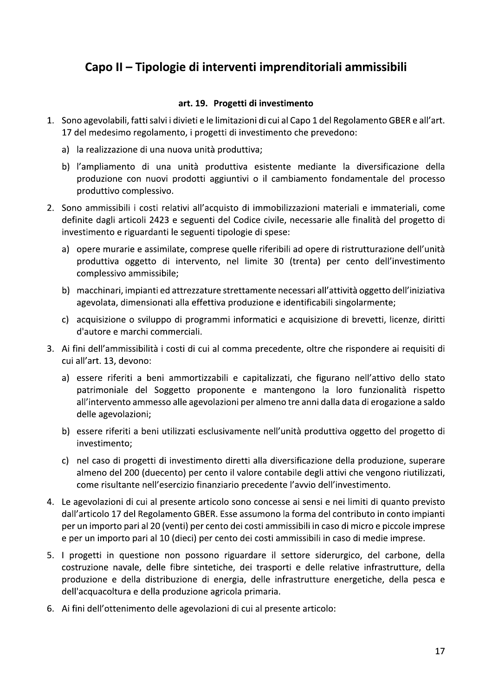# Capo II – Tipologie di interventi imprenditoriali ammissibili

### art. 19. Progetti di investimento

- 1. Sono agevolabili, fatti salvi i divieti e le limitazioni di cui al Capo 1 del Regolamento GBER e all'art. 17 del medesimo regolamento, i progetti di investimento che prevedono:
	- a) la realizzazione di una nuova unità produttiva;
	- b) l'ampliamento di una unità produttiva esistente mediante la diversificazione della produzione con nuovi prodotti aggiuntivi o il cambiamento fondamentale del processo produttivo complessivo.
- 2. Sono ammissibili i costi relativi all'acquisto di immobilizzazioni materiali e immateriali, come definite dagli articoli 2423 e seguenti del Codice civile, necessarie alle finalità del progetto di investimento e riguardanti le seguenti tipologie di spese:
	- a) opere murarie e assimilate, comprese quelle riferibili ad opere di ristrutturazione dell'unità produttiva oggetto di intervento, nel limite 30 (trenta) per cento dell'investimento complessivo ammissibile;
	- b) macchinari, impianti ed attrezzature strettamente necessari all'attività oggetto dell'iniziativa agevolata, dimensionati alla effettiva produzione e identificabili singolarmente;
	- c) acquisizione o sviluppo di programmi informatici e acquisizione di brevetti, licenze, diritti d'autore e marchi commerciali.
- 3. Ai fini dell'ammissibilità i costi di cui al comma precedente, oltre che rispondere ai requisiti di cui all'art. 13, devono:
	- a) essere riferiti a beni ammortizzabili e capitalizzati, che figurano nell'attivo dello stato patrimoniale del Soggetto proponente e mantengono la loro funzionalità rispetto all'intervento ammesso alle agevolazioni per almeno tre anni dalla data di erogazione a saldo delle agevolazioni;
	- b) essere riferiti a beni utilizzati esclusivamente nell'unità produttiva oggetto del progetto di investimento;
	- c) nel caso di progetti di investimento diretti alla diversificazione della produzione, superare almeno del 200 (duecento) per cento il valore contabile degli attivi che vengono riutilizzati, come risultante nell'esercizio finanziario precedente l'avvio dell'investimento.
- 4. Le agevolazioni di cui al presente articolo sono concesse ai sensi e nei limiti di quanto previsto dall'articolo 17 del Regolamento GBER. Esse assumono la forma del contributo in conto impianti per un importo pari al 20 (venti) per cento dei costi ammissibili in caso di micro e piccole imprese e per un importo pari al 10 (dieci) per cento dei costi ammissibili in caso di medie imprese.
- 5. I progetti in questione non possono riguardare il settore siderurgico, del carbone, della costruzione navale, delle fibre sintetiche, dei trasporti e delle relative infrastrutture, della produzione e della distribuzione di energia, delle infrastrutture energetiche, della pesca e dell'acquacoltura e della produzione agricola primaria.
- 6. Ai fini dell'ottenimento delle agevolazioni di cui al presente articolo: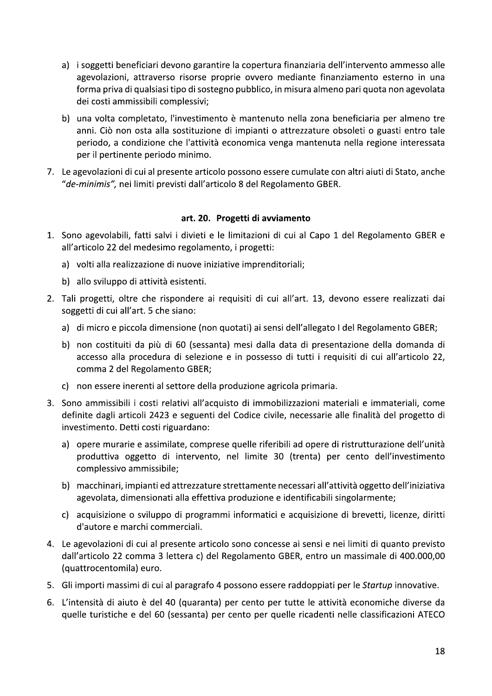- a) i soggetti beneficiari devono garantire la copertura finanziaria dell'intervento ammesso alle agevolazioni, attraverso risorse proprie ovvero mediante finanziamento esterno in una forma priva di qualsiasi tipo di sostegno pubblico, in misura almeno pari quota non agevolata dei costi ammissibili complessivi;
- b) una volta completato, l'investimento è mantenuto nella zona beneficiaria per almeno tre anni. Ciò non osta alla sostituzione di impianti o attrezzature obsoleti o guasti entro tale periodo, a condizione che l'attività economica venga mantenuta nella regione interessata per il pertinente periodo minimo.
- 7. Le agevolazioni di cui al presente articolo possono essere cumulate con altri aiuti di Stato, anche "de-minimis", nei limiti previsti dall'articolo 8 del Regolamento GBER.

#### art. 20. Progetti di avviamento

- 1. Sono agevolabili, fatti salvi i divieti e le limitazioni di cui al Capo 1 del Regolamento GBER e all'articolo 22 del medesimo regolamento, i progetti:
	- a) volti alla realizzazione di nuove iniziative imprenditoriali;
	- b) allo sviluppo di attività esistenti.
- 2. Tali progetti, oltre che rispondere ai requisiti di cui all'art. 13, devono essere realizzati dai soggetti di cui all'art. 5 che siano:
	- a) di micro e piccola dimensione (non quotati) ai sensi dell'allegato I del Regolamento GBER;
	- b) non costituiti da più di 60 (sessanta) mesi dalla data di presentazione della domanda di accesso alla procedura di selezione e in possesso di tutti i requisiti di cui all'articolo 22, comma 2 del Regolamento GBER;
	- c) non essere inerenti al settore della produzione agricola primaria.
- 3. Sono ammissibili i costi relativi all'acquisto di immobilizzazioni materiali e immateriali, come definite dagli articoli 2423 e seguenti del Codice civile, necessarie alle finalità del progetto di investimento. Detti costi riguardano:
	- a) opere murarie e assimilate, comprese quelle riferibili ad opere di ristrutturazione dell'unità produttiva oggetto di intervento, nel limite 30 (trenta) per cento dell'investimento complessivo ammissibile;
	- b) macchinari, impianti ed attrezzature strettamente necessari all'attività oggetto dell'iniziativa agevolata, dimensionati alla effettiva produzione e identificabili singolarmente;
	- c) acquisizione o sviluppo di programmi informatici e acquisizione di brevetti, licenze, diritti d'autore e marchi commerciali.
- 4. Le agevolazioni di cui al presente articolo sono concesse ai sensi e nei limiti di quanto previsto dall'articolo 22 comma 3 lettera c) del Regolamento GBER, entro un massimale di 400.000,00 (quattrocentomila) euro.
- 5. Gli importi massimi di cui al paragrafo 4 possono essere raddoppiati per le Startup innovative.
- 6. L'intensità di aiuto è del 40 (quaranta) per cento per tutte le attività economiche diverse da quelle turistiche e del 60 (sessanta) per cento per quelle ricadenti nelle classificazioni ATECO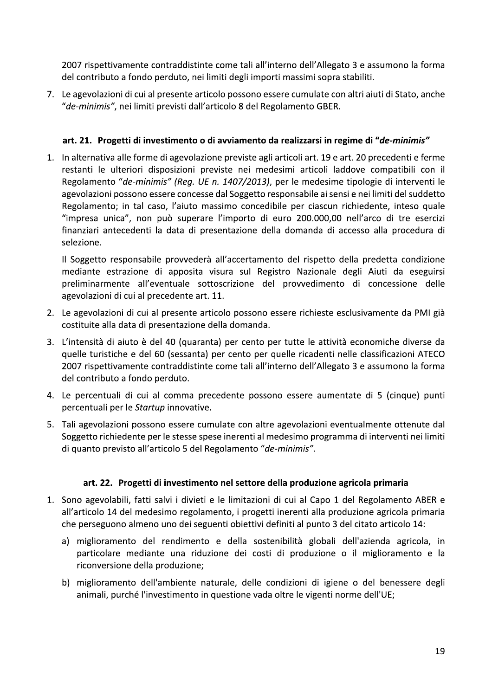2007 rispettivamente contraddistinte come tali all'interno dell'Allegato 3 e assumono la forma del contributo a fondo perduto, nei limiti degli importi massimi sopra stabiliti.

7. Le agevolazioni di cui al presente articolo possono essere cumulate con altri aiuti di Stato, anche "de-minimis", nei limiti previsti dall'articolo 8 del Regolamento GBER.

## art. 21. Progetti di investimento o di avviamento da realizzarsi in regime di "de-minimis"

1. In alternativa alle forme di agevolazione previste agli articoli art. 19 e art. 20 precedenti e ferme restanti le ulteriori disposizioni previste nei medesimi articoli laddove compatibili con il Regolamento "de-minimis" (Reg. UE n. 1407/2013), per le medesime tipologie di interventi le agevolazioni possono essere concesse dal Soggetto responsabile ai sensi e nei limiti del suddetto Regolamento; in tal caso, l'aiuto massimo concedibile per ciascun richiedente, inteso quale "impresa unica", non può superare l'importo di euro 200.000,00 nell'arco di tre esercizi finanziari antecedenti la data di presentazione della domanda di accesso alla procedura di selezione.

Il Soggetto responsabile provvederà all'accertamento del rispetto della predetta condizione mediante estrazione di apposita visura sul Registro Nazionale degli Aiuti da eseguirsi preliminarmente all'eventuale sottoscrizione del provvedimento di concessione delle agevolazioni di cui al precedente art. 11.

- 2. Le agevolazioni di cui al presente articolo possono essere richieste esclusivamente da PMI già costituite alla data di presentazione della domanda.
- 3. L'intensità di aiuto è del 40 (quaranta) per cento per tutte le attività economiche diverse da quelle turistiche e del 60 (sessanta) per cento per quelle ricadenti nelle classificazioni ATECO 2007 rispettivamente contraddistinte come tali all'interno dell'Allegato 3 e assumono la forma del contributo a fondo perduto.
- 4. Le percentuali di cui al comma precedente possono essere aumentate di 5 (cinque) punti percentuali per le Startup innovative.
- 5. Tali agevolazioni possono essere cumulate con altre agevolazioni eventualmente ottenute dal Soggetto richiedente per le stesse spese inerenti al medesimo programma di interventi nei limiti di quanto previsto all'articolo 5 del Regolamento "de-minimis".

## art. 22. Progetti di investimento nel settore della produzione agricola primaria

- 1. Sono agevolabili, fatti salvi i divieti e le limitazioni di cui al Capo 1 del Regolamento ABER e all'articolo 14 del medesimo regolamento, i progetti inerenti alla produzione agricola primaria che perseguono almeno uno dei seguenti obiettivi definiti al punto 3 del citato articolo 14:
	- a) miglioramento del rendimento e della sostenibilità globali dell'azienda agricola, in particolare mediante una riduzione dei costi di produzione o il miglioramento e la riconversione della produzione;
	- b) miglioramento dell'ambiente naturale, delle condizioni di igiene o del benessere degli animali, purché l'investimento in questione vada oltre le vigenti norme dell'UE;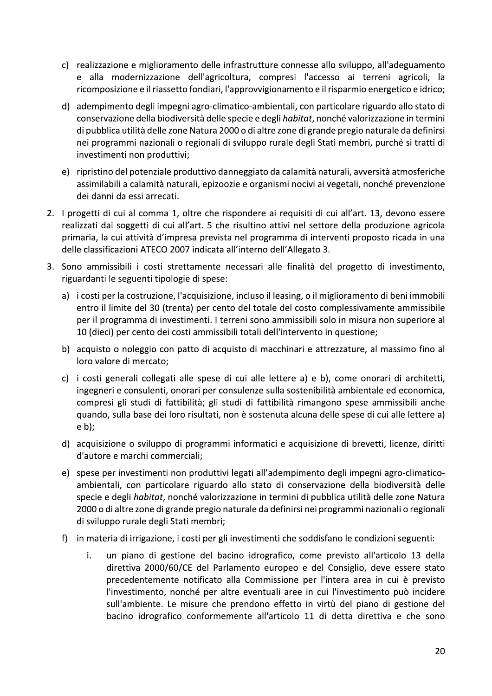- c) realizzazione e miglioramento delle infrastrutture connesse allo sviluppo, all'adeguamento e alla modernizzazione dell'agricoltura, compresi l'accesso ai terreni agricoli, la ricomposizione e il riassetto fondiari, l'approvvigionamento e il risparmio energetico e idrico;
- d) adempimento degli impegni agro-climatico-ambientali, con particolare riguardo allo stato di conservazione della biodiversità delle specie e degli habitat, nonché valorizzazione in termini di pubblica utilità delle zone Natura 2000 o di altre zone di grande pregio naturale da definirsi nei programmi nazionali o regionali di sviluppo rurale degli Stati membri, purché si tratti di investimenti non produttivi;
- e) ripristino del potenziale produttivo danneggiato da calamità naturali, avversità atmosferiche assimilabili a calamità naturali, epizoozie e organismi nocivi ai vegetali, nonché prevenzione dei danni da essi arrecati.
- 2. I progetti di cui al comma 1, oltre che rispondere ai requisiti di cui all'art. 13, devono essere realizzati dai soggetti di cui all'art. 5 che risultino attivi nel settore della produzione agricola primaria, la cui attività d'impresa prevista nel programma di interventi proposto ricada in una delle classificazioni ATECO 2007 indicata all'interno dell'Allegato 3.
- 3. Sono ammissibili i costi strettamente necessari alle finalità del progetto di investimento, riguardanti le seguenti tipologie di spese:
	- a) i costi per la costruzione, l'acquisizione, incluso il leasing, o il miglioramento di beni immobili entro il limite del 30 (trenta) per cento del totale del costo complessivamente ammissibile per il programma di investimenti. I terreni sono ammissibili solo in misura non superiore al 10 (dieci) per cento dei costi ammissibili totali dell'intervento in questione;
	- b) acquisto o noleggio con patto di acquisto di macchinari e attrezzature, al massimo fino al loro valore di mercato;
	- c) i costi generali collegati alle spese di cui alle lettere a) e b), come onorari di architetti, ingegneri e consulenti, onorari per consulenze sulla sostenibilità ambientale ed economica, compresi gli studi di fattibilità; gli studi di fattibilità rimangono spese ammissibili anche quando, sulla base dei loro risultati, non è sostenuta alcuna delle spese di cui alle lettere a)  $e<sub>b</sub>$
	- d) acquisizione o sviluppo di programmi informatici e acquisizione di brevetti, licenze, diritti d'autore e marchi commerciali;
	- e) spese per investimenti non produttivi legati all'adempimento degli impegni agro-climaticoambientali, con particolare riguardo allo stato di conservazione della biodiversità delle specie e degli habitat, nonché valorizzazione in termini di pubblica utilità delle zone Natura 2000 o di altre zone di grande pregio naturale da definirsi nei programmi nazionali o regionali di sviluppo rurale degli Stati membri;
	- f) in materia di irrigazione, i costi per gli investimenti che soddisfano le condizioni seguenti:
		- un piano di gestione del bacino idrografico, come previsto all'articolo 13 della i. direttiva 2000/60/CE del Parlamento europeo e del Consiglio, deve essere stato precedentemente notificato alla Commissione per l'intera area in cui è previsto l'investimento, nonché per altre eventuali aree in cui l'investimento può incidere sull'ambiente. Le misure che prendono effetto in virtù del piano di gestione del bacino idrografico conformemente all'articolo 11 di detta direttiva e che sono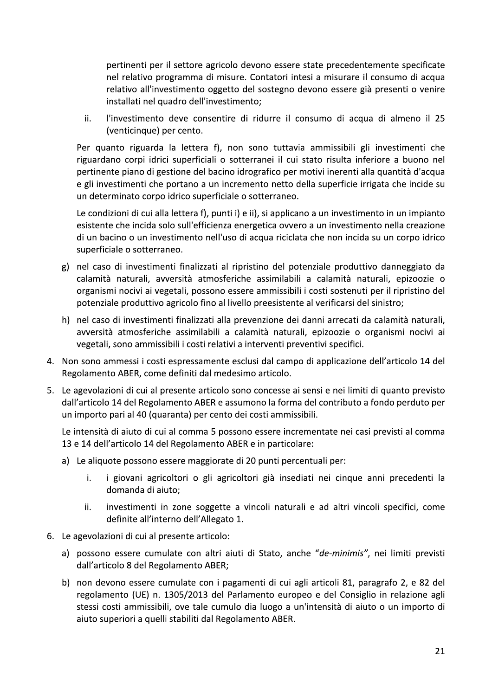pertinenti per il settore agricolo devono essere state precedentemente specificate nel relativo programma di misure. Contatori intesi a misurare il consumo di acqua relativo all'investimento oggetto del sostegno devono essere già presenti o venire installati nel quadro dell'investimento;

ii. l'investimento deve consentire di ridurre il consumo di acqua di almeno il 25 (venticinque) per cento.

Per quanto riguarda la lettera f), non sono tuttavia ammissibili gli investimenti che riguardano corpi idrici superficiali o sotterranei il cui stato risulta inferiore a buono nel pertinente piano di gestione del bacino idrografico per motivi inerenti alla quantità d'acqua e gli investimenti che portano a un incremento netto della superficie irrigata che incide su un determinato corpo idrico superficiale o sotterraneo.

Le condizioni di cui alla lettera f), punti i) e ii), si applicano a un investimento in un impianto esistente che incida solo sull'efficienza energetica ovvero a un investimento nella creazione di un bacino o un investimento nell'uso di acqua riciclata che non incida su un corpo idrico superficiale o sotterraneo.

- g) nel caso di investimenti finalizzati al ripristino del potenziale produttivo danneggiato da calamità naturali, avversità atmosferiche assimilabili a calamità naturali, epizoozie o organismi nocivi ai vegetali, possono essere ammissibili i costi sostenuti per il ripristino del potenziale produttivo agricolo fino al livello preesistente al verificarsi del sinistro;
- h) nel caso di investimenti finalizzati alla prevenzione dei danni arrecati da calamità naturali, avversità atmosferiche assimilabili a calamità naturali, epizoozie o organismi nocivi ai vegetali, sono ammissibili i costi relativi a interventi preventivi specifici.
- 4. Non sono ammessi i costi espressamente esclusi dal campo di applicazione dell'articolo 14 del Regolamento ABER, come definiti dal medesimo articolo.
- 5. Le agevolazioni di cui al presente articolo sono concesse ai sensi e nei limiti di quanto previsto dall'articolo 14 del Regolamento ABER e assumono la forma del contributo a fondo perduto per un importo pari al 40 (quaranta) per cento dei costi ammissibili.

Le intensità di aiuto di cui al comma 5 possono essere incrementate nei casi previsti al comma 13 e 14 dell'articolo 14 del Regolamento ABER e in particolare:

- a) Le aliquote possono essere maggiorate di 20 punti percentuali per:
	- i. i giovani agricoltori o gli agricoltori già insediati nei cinque anni precedenti la domanda di aiuto;
	- investimenti in zone soggette a vincoli naturali e ad altri vincoli specifici, come ii. definite all'interno dell'Allegato 1.
- 6. Le agevolazioni di cui al presente articolo:
	- a) possono essere cumulate con altri aiuti di Stato, anche "de-minimis", nei limiti previsti dall'articolo 8 del Regolamento ABER;
	- b) non devono essere cumulate con i pagamenti di cui agli articoli 81, paragrafo 2, e 82 del regolamento (UE) n. 1305/2013 del Parlamento europeo e del Consiglio in relazione agli stessi costi ammissibili, ove tale cumulo dia luogo a un'intensità di aiuto o un importo di aiuto superiori a quelli stabiliti dal Regolamento ABER.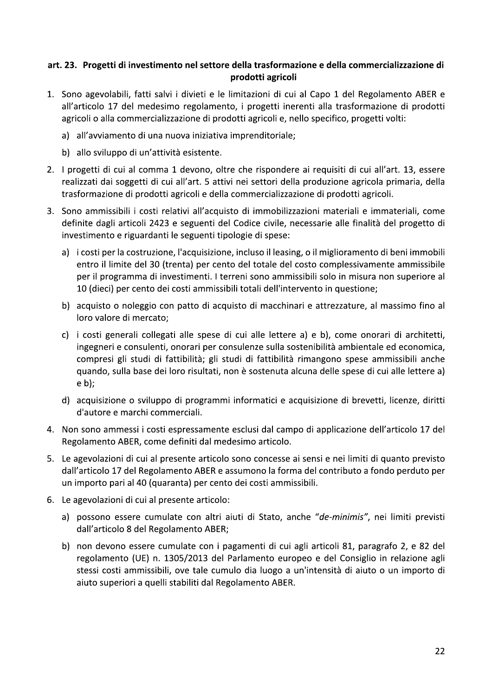### art. 23. Progetti di investimento nel settore della trasformazione e della commercializzazione di prodotti agricoli

- 1. Sono agevolabili, fatti salvi i divieti e le limitazioni di cui al Capo 1 del Regolamento ABER e all'articolo 17 del medesimo regolamento, i progetti inerenti alla trasformazione di prodotti agricoli o alla commercializzazione di prodotti agricoli e, nello specifico, progetti volti:
	- a) all'avviamento di una nuova iniziativa imprenditoriale;
	- b) allo sviluppo di un'attività esistente.
- 2. I progetti di cui al comma 1 devono, oltre che rispondere ai requisiti di cui all'art. 13, essere realizzati dai soggetti di cui all'art. 5 attivi nei settori della produzione agricola primaria, della trasformazione di prodotti agricoli e della commercializzazione di prodotti agricoli.
- 3. Sono ammissibili i costi relativi all'acquisto di immobilizzazioni materiali e immateriali, come definite dagli articoli 2423 e seguenti del Codice civile, necessarie alle finalità del progetto di investimento e riguardanti le seguenti tipologie di spese:
	- a) i costi per la costruzione, l'acquisizione, incluso il leasing, o il miglioramento di beni immobili entro il limite del 30 (trenta) per cento del totale del costo complessivamente ammissibile per il programma di investimenti. I terreni sono ammissibili solo in misura non superiore al 10 (dieci) per cento dei costi ammissibili totali dell'intervento in questione;
	- b) acquisto o noleggio con patto di acquisto di macchinari e attrezzature, al massimo fino al loro valore di mercato;
	- c) i costi generali collegati alle spese di cui alle lettere a) e b), come onorari di architetti, ingegneri e consulenti, onorari per consulenze sulla sostenibilità ambientale ed economica, compresi gli studi di fattibilità; gli studi di fattibilità rimangono spese ammissibili anche quando, sulla base dei loro risultati, non è sostenuta alcuna delle spese di cui alle lettere a)  $e<sub>b</sub>$
	- d) acquisizione o sviluppo di programmi informatici e acquisizione di brevetti, licenze, diritti d'autore e marchi commerciali.
- 4. Non sono ammessi i costi espressamente esclusi dal campo di applicazione dell'articolo 17 del Regolamento ABER, come definiti dal medesimo articolo.
- 5. Le agevolazioni di cui al presente articolo sono concesse ai sensi e nei limiti di quanto previsto dall'articolo 17 del Regolamento ABER e assumono la forma del contributo a fondo perduto per un importo pari al 40 (quaranta) per cento dei costi ammissibili.
- 6. Le agevolazioni di cui al presente articolo:
	- a) possono essere cumulate con altri aiuti di Stato, anche "de-minimis", nei limiti previsti dall'articolo 8 del Regolamento ABER;
	- b) non devono essere cumulate con i pagamenti di cui agli articoli 81, paragrafo 2, e 82 del regolamento (UE) n. 1305/2013 del Parlamento europeo e del Consiglio in relazione agli stessi costi ammissibili, ove tale cumulo dia luogo a un'intensità di aiuto o un importo di aiuto superiori a quelli stabiliti dal Regolamento ABER.